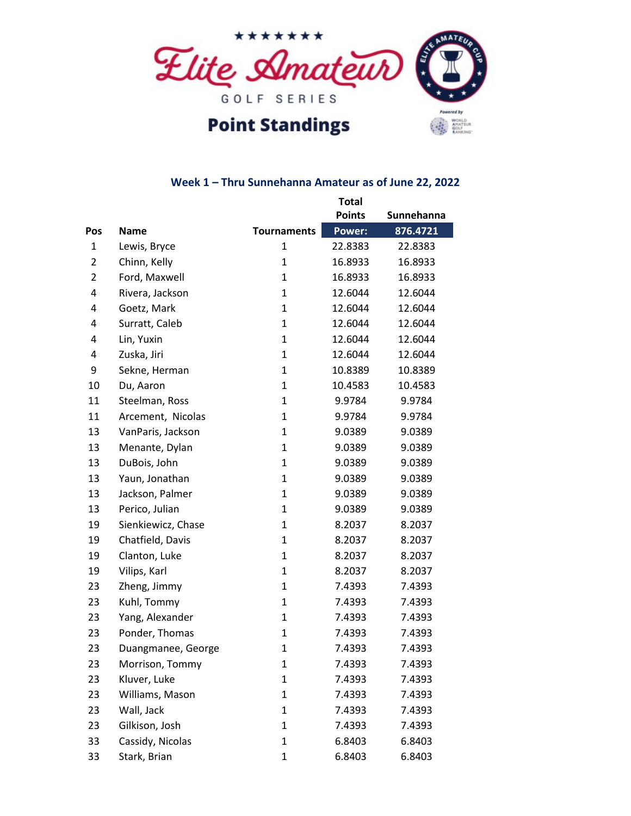

# **Point Standings**

### **Week 1 – Thru Sunnehanna Amateur as of June 22, 2022**

|                |                    |                    | <b>Total</b>  |            |
|----------------|--------------------|--------------------|---------------|------------|
|                |                    |                    | <b>Points</b> | Sunnehanna |
| <b>Pos</b>     | <b>Name</b>        | <b>Tournaments</b> | <b>Power:</b> | 876.4721   |
| $\mathbf{1}$   | Lewis, Bryce       | $\mathbf{1}$       | 22.8383       | 22.8383    |
| $\overline{2}$ | Chinn, Kelly       | $\mathbf{1}$       | 16.8933       | 16.8933    |
| $\overline{2}$ | Ford, Maxwell      | 1                  | 16.8933       | 16.8933    |
| 4              | Rivera, Jackson    | $\mathbf{1}$       | 12.6044       | 12.6044    |
| 4              | Goetz, Mark        | $\mathbf{1}$       | 12.6044       | 12.6044    |
| 4              | Surratt, Caleb     | $\mathbf{1}$       | 12.6044       | 12.6044    |
| 4              | Lin, Yuxin         | 1                  | 12.6044       | 12.6044    |
| 4              | Zuska, Jiri        | $\mathbf{1}$       | 12.6044       | 12.6044    |
| 9              | Sekne, Herman      | $\mathbf{1}$       | 10.8389       | 10.8389    |
| 10             | Du, Aaron          | $\mathbf{1}$       | 10.4583       | 10.4583    |
| 11             | Steelman, Ross     | 1                  | 9.9784        | 9.9784     |
| 11             | Arcement, Nicolas  | 1                  | 9.9784        | 9.9784     |
| 13             | VanParis, Jackson  | $\mathbf{1}$       | 9.0389        | 9.0389     |
| 13             | Menante, Dylan     | $\mathbf{1}$       | 9.0389        | 9.0389     |
| 13             | DuBois, John       | $\mathbf{1}$       | 9.0389        | 9.0389     |
| 13             | Yaun, Jonathan     | $\mathbf{1}$       | 9.0389        | 9.0389     |
| 13             | Jackson, Palmer    | $\mathbf{1}$       | 9.0389        | 9.0389     |
| 13             | Perico, Julian     | $\mathbf{1}$       | 9.0389        | 9.0389     |
| 19             | Sienkiewicz, Chase | $\mathbf{1}$       | 8.2037        | 8.2037     |
| 19             | Chatfield, Davis   | $\mathbf{1}$       | 8.2037        | 8.2037     |
| 19             | Clanton, Luke      | $\mathbf{1}$       | 8.2037        | 8.2037     |
| 19             | Vilips, Karl       | $\mathbf{1}$       | 8.2037        | 8.2037     |
| 23             | Zheng, Jimmy       | $\mathbf{1}$       | 7.4393        | 7.4393     |
| 23             | Kuhl, Tommy        | $\mathbf{1}$       | 7.4393        | 7.4393     |
| 23             | Yang, Alexander    | $\mathbf{1}$       | 7.4393        | 7.4393     |
| 23             | Ponder, Thomas     | $\mathbf{1}$       | 7.4393        | 7.4393     |
| 23             | Duangmanee, George | $\mathbf 1$        | 7.4393        | 7.4393     |
| 23             | Morrison, Tommy    | 1                  | 7.4393        | 7.4393     |
| 23             | Kluver, Luke       | $\mathbf 1$        | 7.4393        | 7.4393     |
| 23             | Williams, Mason    | $\mathbf{1}$       | 7.4393        | 7.4393     |
| 23             | Wall, Jack         | $\mathbf{1}$       | 7.4393        | 7.4393     |
| 23             | Gilkison, Josh     | $\mathbf{1}$       | 7.4393        | 7.4393     |
| 33             | Cassidy, Nicolas   | $\mathbf{1}$       | 6.8403        | 6.8403     |
| 33             | Stark, Brian       | $\mathbf 1$        | 6.8403        | 6.8403     |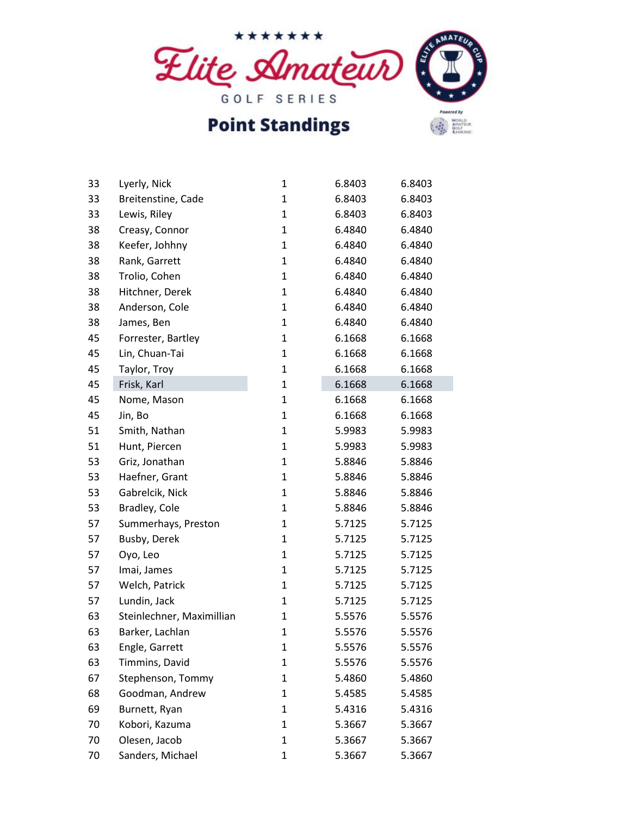

## **Point Standings**

| Powered by |  |
|------------|--|
|            |  |

| 33 | Lyerly, Nick              | 1            | 6.8403 | 6.8403 |
|----|---------------------------|--------------|--------|--------|
| 33 | Breitenstine, Cade        | $\mathbf{1}$ | 6.8403 | 6.8403 |
| 33 | Lewis, Riley              | $\mathbf{1}$ | 6.8403 | 6.8403 |
| 38 | Creasy, Connor            | $\mathbf{1}$ | 6.4840 | 6.4840 |
| 38 | Keefer, Johhny            | $\mathbf{1}$ | 6.4840 | 6.4840 |
| 38 | Rank, Garrett             | $\mathbf{1}$ | 6.4840 | 6.4840 |
| 38 | Trolio, Cohen             | $\mathbf{1}$ | 6.4840 | 6.4840 |
| 38 | Hitchner, Derek           | $\mathbf{1}$ | 6.4840 | 6.4840 |
| 38 | Anderson, Cole            | $\mathbf{1}$ | 6.4840 | 6.4840 |
| 38 | James, Ben                | $\mathbf{1}$ | 6.4840 | 6.4840 |
| 45 | Forrester, Bartley        | $\mathbf{1}$ | 6.1668 | 6.1668 |
| 45 | Lin, Chuan-Tai            | $\mathbf{1}$ | 6.1668 | 6.1668 |
| 45 | Taylor, Troy              | $\mathbf{1}$ | 6.1668 | 6.1668 |
| 45 | Frisk, Karl               | $\mathbf{1}$ | 6.1668 | 6.1668 |
| 45 | Nome, Mason               | $\mathbf{1}$ | 6.1668 | 6.1668 |
| 45 | Jin, Bo                   | $\mathbf{1}$ | 6.1668 | 6.1668 |
| 51 | Smith, Nathan             | $\mathbf{1}$ | 5.9983 | 5.9983 |
| 51 | Hunt, Piercen             | $\mathbf{1}$ | 5.9983 | 5.9983 |
| 53 | Griz, Jonathan            | $\mathbf{1}$ | 5.8846 | 5.8846 |
| 53 | Haefner, Grant            | $\mathbf{1}$ | 5.8846 | 5.8846 |
| 53 | Gabrelcik, Nick           | $\mathbf{1}$ | 5.8846 | 5.8846 |
| 53 | Bradley, Cole             | $\mathbf{1}$ | 5.8846 | 5.8846 |
| 57 | Summerhays, Preston       | $\mathbf{1}$ | 5.7125 | 5.7125 |
| 57 | Busby, Derek              | $\mathbf{1}$ | 5.7125 | 5.7125 |
| 57 | Oyo, Leo                  | $\mathbf{1}$ | 5.7125 | 5.7125 |
| 57 | Imai, James               | $\mathbf{1}$ | 5.7125 | 5.7125 |
| 57 | Welch, Patrick            | $\mathbf{1}$ | 5.7125 | 5.7125 |
| 57 | Lundin, Jack              | $\mathbf{1}$ | 5.7125 | 5.7125 |
| 63 | Steinlechner, Maximillian | 1            | 5.5576 | 5.5576 |
| 63 | Barker, Lachlan           | $\mathbf{1}$ | 5.5576 | 5.5576 |
| 63 | Engle, Garrett            | 1            | 5.5576 | 5.5576 |
| 63 | Timmins, David            | $\mathbf{1}$ | 5.5576 | 5.5576 |
| 67 | Stephenson, Tommy         | $\mathbf{1}$ | 5.4860 | 5.4860 |
| 68 | Goodman, Andrew           | $\mathbf{1}$ | 5.4585 | 5.4585 |
| 69 | Burnett, Ryan             | 1            | 5.4316 | 5.4316 |
| 70 | Kobori, Kazuma            | 1            | 5.3667 | 5.3667 |
| 70 | Olesen, Jacob             | $\mathbf{1}$ | 5.3667 | 5.3667 |
| 70 | Sanders, Michael          | $\mathbf 1$  | 5.3667 | 5.3667 |